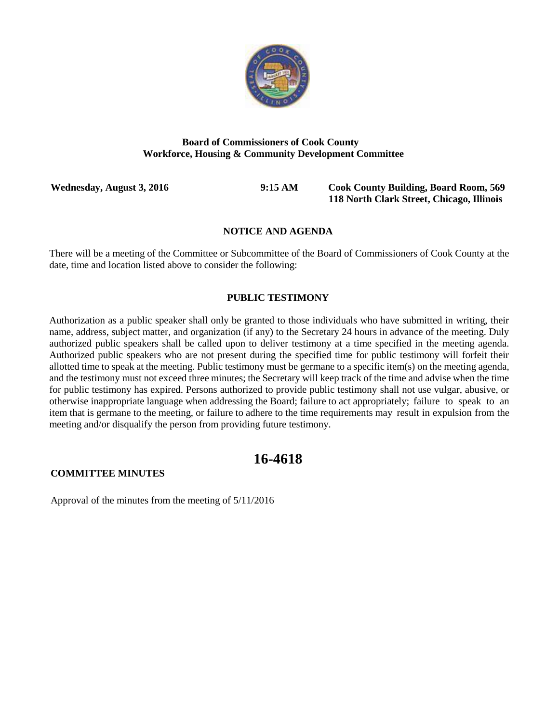

### **Board of Commissioners of Cook County Workforce, Housing & Community Development Committee**

**Wednesday, August 3, 2016 9:15 AM Cook County Building, Board Room, 569 118 North Clark Street, Chicago, Illinois**

### **NOTICE AND AGENDA**

There will be a meeting of the Committee or Subcommittee of the Board of Commissioners of Cook County at the date, time and location listed above to consider the following:

### **PUBLIC TESTIMONY**

Authorization as a public speaker shall only be granted to those individuals who have submitted in writing, their name, address, subject matter, and organization (if any) to the Secretary 24 hours in advance of the meeting. Duly authorized public speakers shall be called upon to deliver testimony at a time specified in the meeting agenda. Authorized public speakers who are not present during the specified time for public testimony will forfeit their allotted time to speak at the meeting. Public testimony must be germane to a specific item(s) on the meeting agenda, and the testimony must not exceed three minutes; the Secretary will keep track of the time and advise when the time for public testimony has expired. Persons authorized to provide public testimony shall not use vulgar, abusive, or otherwise inappropriate language when addressing the Board; failure to act appropriately; failure to speak to an item that is germane to the meeting, or failure to adhere to the time requirements may result in expulsion from the meeting and/or disqualify the person from providing future testimony.

# **16-4618**

### **COMMITTEE MINUTES**

Approval of the minutes from the meeting of 5/11/2016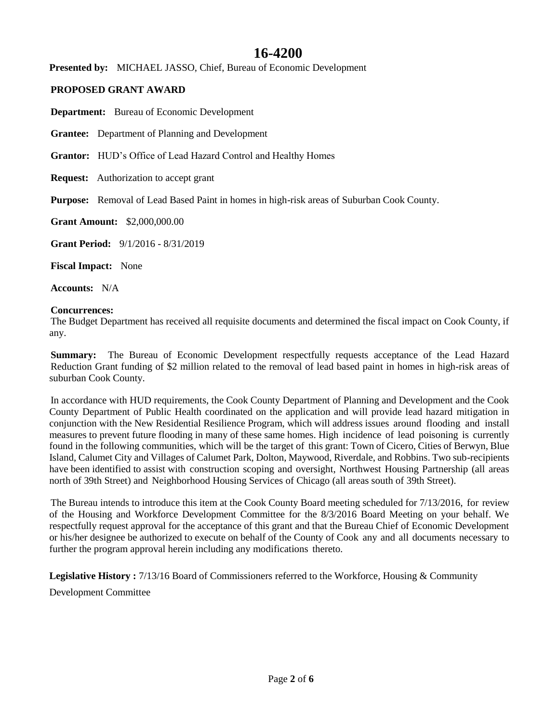# **16-4200**

**Presented by:** MICHAEL JASSO, Chief, Bureau of Economic Development

## **PROPOSED GRANT AWARD**

**Department:** Bureau of Economic Development

**Grantee:** Department of Planning and Development

**Grantor:** HUD's Office of Lead Hazard Control and Healthy Homes

**Request:** Authorization to accept grant

**Purpose:** Removal of Lead Based Paint in homes in high-risk areas of Suburban Cook County.

**Grant Amount:** \$2,000,000.00

**Grant Period:** 9/1/2016 - 8/31/2019

**Fiscal Impact:** None

**Accounts:** N/A

### **Concurrences:**

The Budget Department has received all requisite documents and determined the fiscal impact on Cook County, if any.

**Summary:** The Bureau of Economic Development respectfully requests acceptance of the Lead Hazard Reduction Grant funding of \$2 million related to the removal of lead based paint in homes in high-risk areas of suburban Cook County.

In accordance with HUD requirements, the Cook County Department of Planning and Development and the Cook County Department of Public Health coordinated on the application and will provide lead hazard mitigation in conjunction with the New Residential Resilience Program, which will address issues around flooding and install measures to prevent future flooding in many of these same homes. High incidence of lead poisoning is currently found in the following communities, which will be the target of this grant: Town of Cicero, Cities of Berwyn, Blue Island, Calumet City and Villages of Calumet Park, Dolton, Maywood, Riverdale, and Robbins. Two sub-recipients have been identified to assist with construction scoping and oversight, Northwest Housing Partnership (all areas north of 39th Street) and Neighborhood Housing Services of Chicago (all areas south of 39th Street).

The Bureau intends to introduce this item at the Cook County Board meeting scheduled for 7/13/2016, for review of the Housing and Workforce Development Committee for the 8/3/2016 Board Meeting on your behalf. We respectfully request approval for the acceptance of this grant and that the Bureau Chief of Economic Development or his/her designee be authorized to execute on behalf of the County of Cook any and all documents necessary to further the program approval herein including any modifications thereto.

**Legislative History :** 7/13/16 Board of Commissioners referred to the Workforce, Housing & Community

Development Committee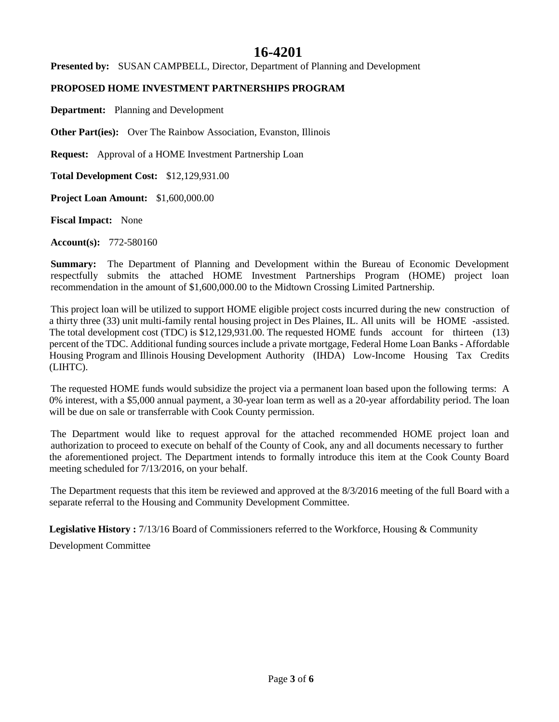# **16-4201**

**Presented by:** SUSAN CAMPBELL, Director, Department of Planning and Development

## **PROPOSED HOME INVESTMENT PARTNERSHIPS PROGRAM**

**Department:** Planning and Development

**Other Part(ies):** Over The Rainbow Association, Evanston, Illinois

**Request:** Approval of a HOME Investment Partnership Loan

**Total Development Cost:** \$12,129,931.00

**Project Loan Amount:** \$1,600,000.00

**Fiscal Impact:** None

**Account(s):** 772-580160

**Summary:** The Department of Planning and Development within the Bureau of Economic Development respectfully submits the attached HOME Investment Partnerships Program (HOME) project loan recommendation in the amount of \$1,600,000.00 to the Midtown Crossing Limited Partnership.

This project loan will be utilized to support HOME eligible project costs incurred during the new construction of a thirty three (33) unit multi-family rental housing project in Des Plaines, IL. All units will be HOME -assisted. The total development cost (TDC) is \$12,129,931.00. The requested HOME funds account for thirteen (13) percent of the TDC. Additional funding sources include a private mortgage, Federal Home Loan Banks - Affordable Housing Program and Illinois Housing Development Authority (IHDA) Low-Income Housing Tax Credits (LIHTC).

The requested HOME funds would subsidize the project via a permanent loan based upon the following terms: A 0% interest, with a \$5,000 annual payment, a 30-year loan term as well as a 20-year affordability period. The loan will be due on sale or transferrable with Cook County permission.

The Department would like to request approval for the attached recommended HOME project loan and authorization to proceed to execute on behalf of the County of Cook, any and all documents necessary to further the aforementioned project. The Department intends to formally introduce this item at the Cook County Board meeting scheduled for 7/13/2016, on your behalf.

The Department requests that this item be reviewed and approved at the 8/3/2016 meeting of the full Board with a separate referral to the Housing and Community Development Committee.

**Legislative History :** 7/13/16 Board of Commissioners referred to the Workforce, Housing & Community Development Committee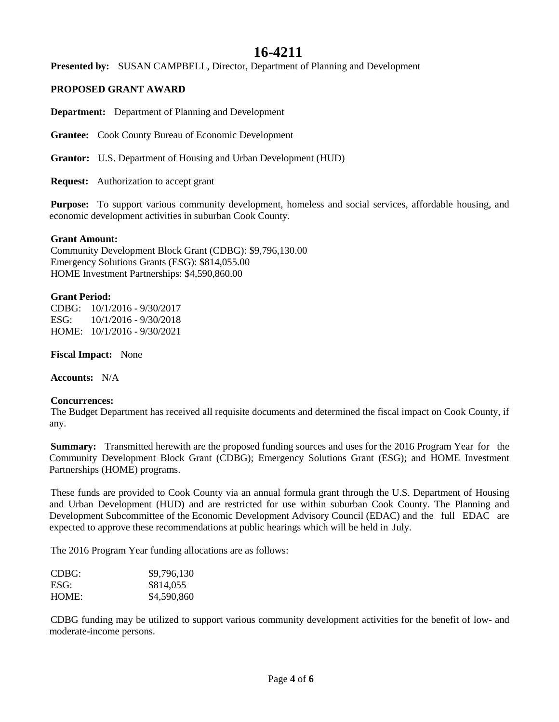# **16-4211**

**Presented by:** SUSAN CAMPBELL, Director, Department of Planning and Development

### **PROPOSED GRANT AWARD**

**Department:** Department of Planning and Development

**Grantee:** Cook County Bureau of Economic Development

**Grantor:** U.S. Department of Housing and Urban Development (HUD)

**Request:** Authorization to accept grant

**Purpose:** To support various community development, homeless and social services, affordable housing, and economic development activities in suburban Cook County.

### **Grant Amount:**

Community Development Block Grant (CDBG): \$9,796,130.00 Emergency Solutions Grants (ESG): \$814,055.00 HOME Investment Partnerships: \$4,590,860.00

### **Grant Period:**

CDBG: 10/1/2016 - 9/30/2017 ESG: 10/1/2016 - 9/30/2018 HOME: 10/1/2016 - 9/30/2021

**Fiscal Impact:** None

**Accounts:** N/A

### **Concurrences:**

The Budget Department has received all requisite documents and determined the fiscal impact on Cook County, if any.

**Summary:** Transmitted herewith are the proposed funding sources and uses for the 2016 Program Year for the Community Development Block Grant (CDBG); Emergency Solutions Grant (ESG); and HOME Investment Partnerships (HOME) programs.

These funds are provided to Cook County via an annual formula grant through the U.S. Department of Housing and Urban Development (HUD) and are restricted for use within suburban Cook County. The Planning and Development Subcommittee of the Economic Development Advisory Council (EDAC) and the full EDAC are expected to approve these recommendations at public hearings which will be held in July.

The 2016 Program Year funding allocations are as follows:

| CDBG: | \$9,796,130 |
|-------|-------------|
| ESG:  | \$814,055   |
| HOME: | \$4,590,860 |

CDBG funding may be utilized to support various community development activities for the benefit of low- and moderate-income persons.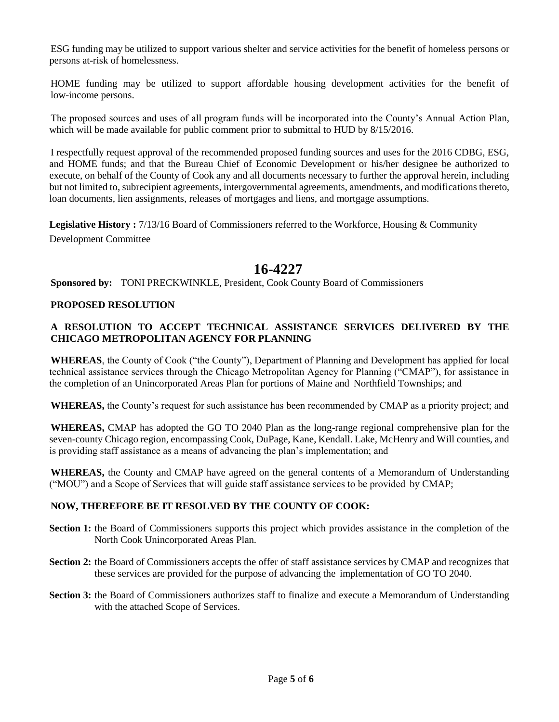ESG funding may be utilized to support various shelter and service activities for the benefit of homeless persons or persons at-risk of homelessness.

HOME funding may be utilized to support affordable housing development activities for the benefit of low-income persons.

The proposed sources and uses of all program funds will be incorporated into the County's Annual Action Plan, which will be made available for public comment prior to submittal to HUD by  $8/15/2016$ .

I respectfully request approval of the recommended proposed funding sources and uses for the 2016 CDBG, ESG, and HOME funds; and that the Bureau Chief of Economic Development or his/her designee be authorized to execute, on behalf of the County of Cook any and all documents necessary to further the approval herein, including but not limited to, subrecipient agreements, intergovernmental agreements, amendments, and modifications thereto, loan documents, lien assignments, releases of mortgages and liens, and mortgage assumptions.

**Legislative History :** 7/13/16 Board of Commissioners referred to the Workforce, Housing & Community Development Committee

# **16-4227**

**Sponsored by:** TONI PRECKWINKLE, President, Cook County Board of Commissioners

### **PROPOSED RESOLUTION**

## **A RESOLUTION TO ACCEPT TECHNICAL ASSISTANCE SERVICES DELIVERED BY THE CHICAGO METROPOLITAN AGENCY FOR PLANNING**

**WHEREAS**, the County of Cook ("the County"), Department of Planning and Development has applied for local technical assistance services through the Chicago Metropolitan Agency for Planning ("CMAP"), for assistance in the completion of an Unincorporated Areas Plan for portions of Maine and Northfield Townships; and

**WHEREAS,** the County's request for such assistance has been recommended by CMAP as a priority project; and

**WHEREAS,** CMAP has adopted the GO TO 2040 Plan as the long-range regional comprehensive plan for the seven-county Chicago region, encompassing Cook, DuPage, Kane, Kendall. Lake, McHenry and Will counties, and is providing staff assistance as a means of advancing the plan's implementation; and

**WHEREAS,** the County and CMAP have agreed on the general contents of a Memorandum of Understanding ("MOU") and a Scope of Services that will guide staff assistance services to be provided by CMAP;

## **NOW, THEREFORE BE IT RESOLVED BY THE COUNTY OF COOK:**

- **Section 1:** the Board of Commissioners supports this project which provides assistance in the completion of the North Cook Unincorporated Areas Plan*.*
- **Section 2:** the Board of Commissioners accepts the offer of staff assistance services by CMAP and recognizes that these services are provided for the purpose of advancing the implementation of GO TO 2040.
- **Section 3:** the Board of Commissioners authorizes staff to finalize and execute a Memorandum of Understanding with the attached Scope of Services.